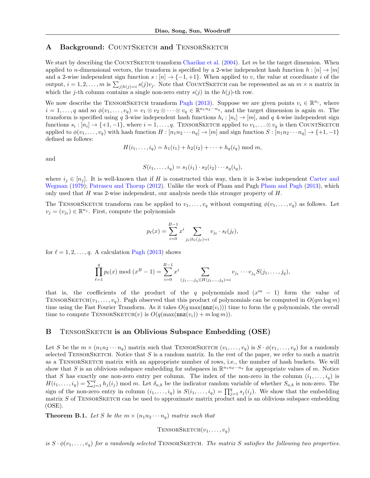# <span id="page-0-7"></span>A Background: COUNTSKETCH and TENSORSKETCH

We start by describing the COUNTSKETCH transform [Charikar et al.](#page-0-0) [\(2004\)](#page-0-0). Let m be the target dimension. When applied to *n*-dimensional vectors, the transform is specified by a 2-wise independent hash function  $h : [n] \to [m]$ and a 2-wise independent sign function  $s : [n] \rightarrow \{-1, +1\}$ . When applied to *v*, the value at coordinate *i* of the output,  $i = 1, 2, \ldots, m$  is  $\sum_{j|h(j)=i} s(j)v_j$ . Note that COUNTSKETCH can be represented as an  $m \times n$  matrix in which the *j*-th column contains a single non-zero entry  $s(j)$  in the  $h(j)$ -th row.

<span id="page-0-5"></span><span id="page-0-2"></span>We now describe the TENSORSKETCH transform [Pagh](#page-0-1) [\(2013\)](#page-0-1). Suppose we are given points  $v_i \in \mathbb{R}^{n_i}$ , where  $i = 1, \ldots, q$  and so  $\phi(v_1, \ldots, v_q) = v_1 \otimes v_2 \otimes \cdots \otimes v_q \in \mathbb{R}^{n_1 n_2 \cdots n_q}$ , and the target dimension is again *m*. The transform is specified using *q* 3-wise independent hash functions  $h_i : [n_i] \rightarrow [m]$ , and *q* 4-wise independent sign functions  $s_i : [n_i] \rightarrow \{+1, -1\}$ , where  $i = 1, \ldots, q$ . TENSORSKETCH applied to  $v_1, \ldots \otimes v_q$  is then COUNTSKETCH applied to  $\phi(v_1,\ldots,v_q)$  with hash function  $H:[n_1n_2\cdots n_q]\to [m]$  and sign function  $S:[n_1n_2\cdots n_q]\to \{+1,-1\}$ defined as follows:

<span id="page-0-18"></span>
$$
H(i_1, ..., i_q) = h_1(i_1) + h_2(i_2) + \cdots + h_q(i_q) \bmod m,
$$

<span id="page-0-17"></span><span id="page-0-0"></span>and

<span id="page-0-16"></span>
$$
S(i_1,\ldots,i_q)=s_1(i_1)\cdot s_2(i_2)\cdots s_q(i_q),
$$

<span id="page-0-15"></span><span id="page-0-9"></span>where  $i_j \in [n_j]$ . It is well-known that if *H* is constructed this way, then it is 3-wise independent [Carter and](#page-0-2) [Wegman](#page-0-2) [\(1979\)](#page-0-2); [Patrascu and Thorup](#page-0-3) [\(2012\)](#page-0-3). Unlike the work of Pham and Pagh [Pham and Pagh](#page-0-4) [\(2013\)](#page-0-4), which only used that *H* was 2-wise independent, our analysis needs this stronger property of *H*.

The TENSORSKETCH transform can be applied to  $v_1, \ldots, v_q$  without computing  $\phi(v_1, \ldots, v_q)$  as follows. Let  $v_j = (v_{j_\ell}) \in \mathbb{R}^{n_j}$ . First, compute the polynomials

<span id="page-0-13"></span><span id="page-0-12"></span>
$$
p_{\ell}(x) = \sum_{i=0}^{B-1} x^{i} \sum_{j_{\ell} | h_{\ell}(j_{\ell}) = i} v_{j_{\ell}} \cdot s_{\ell}(j_{\ell}),
$$

<span id="page-0-11"></span><span id="page-0-8"></span>for  $\ell = 1, 2, \ldots, q$ . A calculation [Pagh](#page-0-1) [\(2013\)](#page-0-1) shows

$$
\prod_{\ell=1}^q p_\ell(x) \bmod (x^B - 1) = \sum_{i=0}^{B-1} x^i \sum_{(j_1,...,j_q) | H(j_1,...,j_q) = i} v_{j_1} \cdots v_{j_q} S(j_1,...,j_q),
$$

that is, the coefficients of the product of the *q* polynomials mod  $(x^m - 1)$  form the value of TENSORSKETCH $(v_1, \ldots, v_q)$ . Pagh observed that this product of polynomials can be computed in  $O(qm \log m)$ time using the Fast Fourier Transform. As it takes  $O(q \max(\max(v_i)))$  time to form the *q* polynomials, the overall time to compute TENSORSKETCH $(v)$  is  $O(q(\max(\max(v_i)) + m \log m))$ .

### B TENSORSKETCH is an Oblivious Subspace Embedding (OSE)

<span id="page-0-19"></span><span id="page-0-10"></span>Let *S* be the  $m \times (n_1 n_2 \cdots n_q)$  matrix such that TENSORSKETCH  $(v_1, \ldots, v_q)$  is  $S \cdot \phi(v_1, \ldots, v_q)$  for a randomly selected TENSORSKETCH. Notice that *S* is a random matrix. In the rest of the paper, we refer to such a matrix as a TENSORSKETCH matrix with an appropriate number of rows, i.e., the number of hash buckets. We will show that *S* is an oblivious subspace embedding for subspaces in  $\mathbb{R}^{n_1 n_2 \cdots n_q}$  for appropriate values of *m*. Notice that *S* has exactly one non-zero entry per column. The index of the non-zero in the column  $(i_1, \ldots, i_q)$  is  $H(i_1,\ldots,i_q) = \sum_{j=1}^q h_j(i_j)$  mod *m*. Let  $\delta_{a,b}$  be the indicator random variable of whether  $S_{a,b}$  is non-zero. The sign of the non-zero entry in column  $(i_1, \ldots, i_q)$  is  $S(i_1, \ldots, i_q) = \prod_{j=1}^q s_j(i_j)$ . We show that the embedding matrix *S* of TENSORSKETCH can be used to approximate matrix product and is an oblivious subspace embedding (OSE).

**Theorem B.1.** Let S be the  $m \times (n_1 n_2 \cdots n_q)$  matrix such that

<span id="page-0-14"></span><span id="page-0-6"></span><span id="page-0-4"></span><span id="page-0-3"></span><span id="page-0-1"></span> $T$ ENSORSKETCH $(v_1, \ldots, v_q)$ 

*is*  $S \cdot \phi(v_1, \ldots, v_q)$  *for a randomly selected* TENSORSKETCH. The matrix *S satisfies the following two properties.*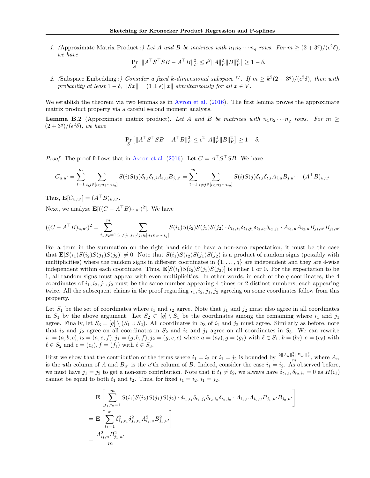*1.* (Approximate Matrix Product :) Let A and B be matrices with  $n_1 n_2 \cdots n_q$  rows. For  $m \geq (2 + 3^q)/(\epsilon^2 \delta)$ , *we have*

$$
\Pr_{S} [||A^{\top} S^{\top} S B - A^{\top} B||_F^2 \le \epsilon^2 ||A||_F^2 ||B||_F^2] \ge 1 - \delta.
$$

2. (Subspace Embedding :) Consider a fixed *k*-dimensional subspace V. If  $m \geq k^2(2+3^q)/(\epsilon^2\delta)$ , then with *probability at least*  $1 - \delta$ ,  $||Sx|| = (1 \pm \epsilon) ||x||$  *simultaneously for all*  $x \in V$ *.* 

We establish the theorem via two lemmas as in [Avron et al.](#page-0-5)  $(2016)$ . The first lemma proves the approximate matrix product property via a careful second moment analysis.

<span id="page-1-0"></span>**Lemma B.2** (Approximate matrix product). Let A and B be matrices with  $n_1n_2\cdots n_q$  rows. For  $m \geq$  $(2+3^q)/(\epsilon^2\delta)$ , we have

$$
\Pr_S\left[\|A^\top S^\top S B - A^\top B\|_F^2 \leq \epsilon^2 \|A\|_F^2 \|B\|_F^2\right] \geq 1-\delta.
$$

*Proof.* The proof follows that in [Avron et al.](#page-0-5) [\(2016\)](#page-0-5). Let  $C = A^{\top}S^{\top}SB$ . We have

$$
C_{u,u'} = \sum_{t=1}^{m} \sum_{i,j \in [n_1n_2\cdots n_q]} S(i)S(j)\delta_{t,i}\delta_{t,j}A_{i,u}B_{j,u'} = \sum_{t=1}^{m} \sum_{i \neq j \in [n_1n_2\cdots n_q]} S(i)S(j)\delta_{t,i}\delta_{t,i}A_{i,u}B_{j,u'} + (A^{\top}B)_{u,u'}
$$

Thus,  $\mathbf{E}[C_{u,u'}]=(A^{\top}B)_{u,u'}.$ 

Next, we analyze  $\mathbf{E}[(C - A^{\top}B)_{u,u'})^2]$ . We have

$$
((C - AT B)_{u,u'})^2 = \sum_{t_1, t_2 = 1}^{m} \sum_{i_1 \neq j_1, i_2 \neq j_2 \in [n_1 n_2 \cdots n_q]} S(i_1)S(i_2)S(j_1)S(j_2) \cdot \delta_{t_1, i_1} \delta_{t_1, j_1} \delta_{t_2, i_2} \delta_{t_2, j_2} \cdot A_{i_1, u} A_{i_2, u} B_{j_1, u'} B_{j_2, u'}
$$

For a term in the summation on the right hand side to have a non-zero expectation, it must be the case that  $\mathbf{E}[S(i_1)S(i_2)S(j_1)S(j_2)] \neq 0$ . Note that  $S(i_1)S(i_2)S(j_1)S(j_2)$  is a product of random signs (possibly with multiplicities) where the random signs in different coordinates in  $\{1, \ldots, q\}$  are independent and they are 4-wise independent within each coordinate. Thus,  $\mathbf{E}[S(i_1)S(i_2)S(j_1)S(j_2)]$  is either 1 or 0. For the expectation to be 1, all random signs must appear with even multiplicities. In other words, in each of the *q* coordinates, the 4 coordinates of  $i_1, i_2, j_1, j_2$  must be the same number appearing 4 times or 2 distinct numbers, each appearing twice. All the subsequent claims in the proof regarding *i*1*, i*2*, j*1*, j*<sup>2</sup> agreeing on some coordinates follow from this property.

Let  $S_1$  be the set of coordinates where  $i_1$  and  $i_2$  agree. Note that  $j_1$  and  $j_2$  must also agree in all coordinates in  $S_1$  by the above argument. Let  $S_2 \subset [q] \setminus S_1$  be the coordinates among the remaining where  $i_1$  and  $j_1$ agree. Finally, let  $S_3 = [q] \setminus (S_1 \cup S_2)$ . All coordinates in  $S_3$  of  $i_1$  and  $j_2$  must agree. Similarly as before, note that  $i_2$  and  $j_2$  agree on all coordinates in  $S_2$  and  $i_2$  and  $j_1$  agree on all coordinates in  $S_3$ . We can rewrite  $i_1 = (a, b, c), i_2 = (a, e, f), j_1 = (g, b, f), j_2 = (g, e, c)$  where  $a = (a_\ell), g = (g_\ell)$  with  $\ell \in S_1$ ,  $b = (b_\ell), e = (e_\ell)$  with  $\ell \in S_2$  and  $c = (c_{\ell}), f = (f_{\ell})$  with  $\ell \in S_3$ .

First we show that the contribution of the terms where  $i_1 = i_2$  or  $i_1 = j_2$  is bounded by  $\frac{2||A_u||_2^2||B_{u'}||_2^2}{m}$ , where  $A_u$ is the *u*th column of *A* and  $B_{u'}$  is the *u*'th column of *B*. Indeed, consider the case  $i_1 = i_2$ . As observed before, we must have  $j_1 = j_2$  to get a non-zero contribution. Note that if  $t_1 \neq t_2$ , we always have  $\delta_{t_1,i_1} \delta_{t_2,i_2} = 0$  as  $H(i_1)$ cannot be equal to both  $t_1$  and  $t_2$ . Thus, for fixed  $i_1 = i_2, j_1 = j_2$ ,

$$
\mathbf{E} \left[ \sum_{t_1, t_2=1}^m S(i_1) S(i_2) S(j_1) S(j_2) \cdot \delta_{t_1, i_1} \delta_{t_1, j_1} \delta_{t_2, i_2} \delta_{t_2, j_2} \cdot A_{i_1, u} A_{i_2, u} B_{j_1, u'} B_{j_2, u'} \right]
$$
\n
$$
= \mathbf{E} \left[ \sum_{t_1=1}^m \delta_{i_1, t_1}^2 \delta_{j_1, t_1}^2 A_{i_1, u}^2 B_{j_1, u'}^2 \right]
$$
\n
$$
= \frac{A_{i_1, u}^2 B_{j_1, u'}^2}{m}
$$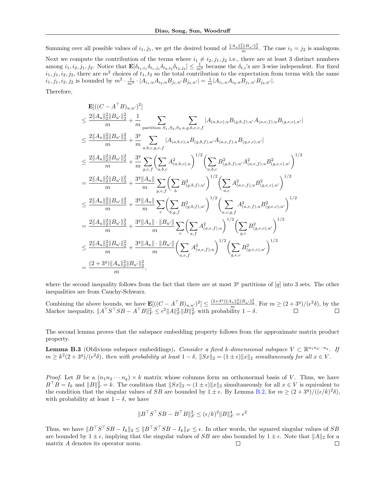Summing over all possible values of  $i_1, j_1$ , we get the desired bound of  $\frac{\|A_u\|_2^2 \|B_{u'}\|_2^2}{m}$ . The case  $i_1 = j_2$  is analogous. Next we compute the contribution of the terms where  $i_1 \neq i_2, j_1, j_2$  i.e., there are at least 3 distinct numbers among  $i_1, i_2, j_1, j_2$ . Notice that  $\mathbf{E}[\delta_{t_1,i_1}\delta_{t_1,j_1}\delta_{t_2,i_2}\delta_{t_2,j_2}] \leq \frac{1}{m^3}$  because the  $\delta_{t,i}$ 's are 3-wise independent. For fixed  $i_1, j_1, i_2, j_2$ , there are  $m^2$  choices of  $t_1, t_2$  so the total contribution to the expectation from terms with the same  $i_1, j_1, i_2, j_2$  is bounded by  $m^2 \cdot \frac{1}{m^3} \cdot |A_{i_1, u} A_{i_2, u} B_{j_1, u'} B_{j_2, u'}| = \frac{1}{m} |A_{i_1, u} A_{i_2, u} B_{j_1, u'} B_{j_2, u'}|$ .

Therefore,

$$
\begin{split} &\leq \frac{\mathbf{E}[((C-A^\top B)_{u,u'})^2]}{m} \\ &\leq \frac{2\|A_u\|_2^2\|B_{u'}\|_2^2}{m} + \frac{1}{m} \sum_{\text{partition } S_1,S_2,S_3} \sum_{a,g,b,e,c,f} |A_{(a,b,c),u}B_{(g,b,f),u'}A_{(a,e,f),u}B_{(g,e,c),u'}| \\ &\leq \frac{2\|A_u\|_2^2\|B_{u'}\|_2^2}{m} + \frac{3^q}{m} \sum_{a,b,c,g,e,f} |A_{(a,b,c),u}B_{(g,b,f),u'}A_{(a,e,f),u}B_{(g,e,c),u'}| \\ &\leq \frac{2\|A_u\|_2^2\|B_{u'}\|_2^2}{m} + \frac{3^q}{m} \sum_{g,e,f} \left(\sum_{a,b,c} A_{(a,b,c),u}^2\right)^{1/2} \left(\sum_{a,b,c} B_{(g,b,f),u'}^2 A_{(a,e,f),u}^2 B_{(g,e,c),u'}^2\right)^{1/2} \\ &= \frac{2\|A_u\|_2^2\|B_{u'}\|_2^2}{m} + \frac{3^q\|A_u\|}{m} \sum_{g,e,f} \left(\sum_{b} B_{(g,b,f),u'}^2\right)^{1/2} \left(\sum_{a,c} A_{(a,e,f),u}^2 B_{(g,e,c),u'}^2\right)^{1/2} \\ &\leq \frac{2\|A_u\|_2^2\|B_{u'}\|_2^2}{m} + \frac{3^q\|A_u\|}{m} \sum_{e} \left(\sum_{b,g,f} B_{(g,b,f),u'}^2\right)^{1/2} \left(\sum_{a,c,g,f} A_{(a,e,f),u}^2 B_{(g,e,c),u'}^2\right)^{1/2} \\ &= \frac{2\|A_u\|_2^2\|B_{u'}\|_2^2}{m} + \frac{3^q\|A_u\| \cdot \|B_{u'}\|}{m} \sum_{e} \left(\sum_{a,f} A_{(a,e,f),u}^2\right)^{1/2} \left(\sum_{g,c} B_{(g,e,c),u'}^2\right)^{1/2} \\ &\leq \frac{2\|A_u\|_2^2\|B_{u'}\|_2^2}{m} + \frac{3^q
$$

where the second inequality follows from the fact that there are at most 3*<sup>q</sup>* partitions of [*q*] into 3 sets. The other inequalities are from Cauchy-Schwarz.

Combining the above bounds, we have  $\mathbf{E}[((C - A^T B)_{u,u'})^2] \leq \frac{(2+3^q)\|A_u\|_2^2 \|B_{u'}\|_2^2}{m}$ . For  $m \geq (2+3^q)/(\epsilon^2 \delta)$ , by the Markov inequality,  $||A^\top S^\top SB - A^\top B||_F^2 \le \epsilon^2 ||A||_F^2 ||B||_F^2$  with probability  $1 - \delta$ .

The second lemma proves that the subspace embedding property follows from the approximate matrix product property.

<span id="page-2-0"></span>**Lemma B.3** (Oblivious subspace embeddings). *Consider a fixed k-dimensional subspace*  $V \subset \mathbb{R}^{n_1 n_2 \cdots n_q}$ . If  $m \geq k^2(2+3^q)/(\epsilon^2\delta)$ , then with probability at least  $1-\delta$ ,  $||Sx||_2 = (1 \pm \epsilon) ||x||_2$  simultaneously for all  $x \in V$ .

*Proof.* Let *B* be a  $(n_1n_2 \cdots n_q) \times k$  matrix whose columns form an orthonormal basis of *V*. Thus, we have  $B^{\top}B = I_k$  and  $||B||_F^2 = k$ . The condition that  $||Sx||_2 = (1 \pm \epsilon) ||x||_2$  simultaneously for all  $x \in V$  is equivalent to the condition that the singular values of *SB* are bounded by  $1 \pm \epsilon$ . By Lemma [B.2,](#page-1-0) for  $m \geq (2 + 3^q)/((\epsilon/k)^2 \delta)$ , with probability at least  $1 - \delta$ , we have

$$
||BTSTSB - BTB||F2 \le (\epsilon/k)2 ||B||F4 = \epsilon2
$$

Thus, we have  $||B^{\top}S^{\top}SB - I_k||_2 \leq ||B^{\top}S^{\top}SB - I_k||_F \leq \epsilon$ . In other words, the squared singular values of *SB* are bounded by  $1 \pm \epsilon$ , implying that the singular values of *SB* are also bounded by  $1 \pm \epsilon$ . Note that  $||A||_2$  for a matrix *A* denotes its operator norm. matrix *A* denotes its operator norm.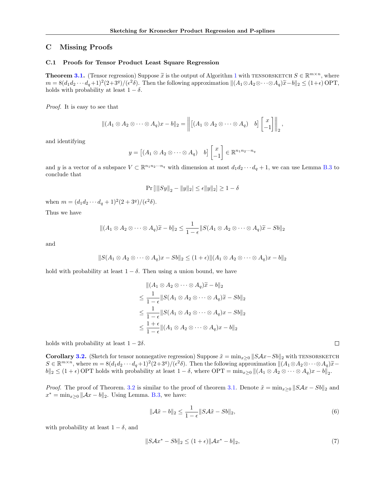# C Missing Proofs

#### C.1 Proofs for Tensor Product Least Square Regression

**Theorem [3.1.](#page-0-6)** (Tensor regression) Suppose  $\tilde{x}$  is the output of Algorithm [1](#page-0-7) with TENSORSKETCH  $S \in \mathbb{R}^{m \times n}$ , where  $m = 8(d_1d_2 \cdots d_q + 1)^2(2+3^q)/({\epsilon^2 \delta})$ . Then the following approximation  $||(A_1 \otimes A_2 \otimes \cdots \otimes A_q)\tilde{x} - b||_2 \leq (1+\epsilon)$  OPT, holds with probability at least  $1 - \delta$ .

*Proof.* It is easy to see that

$$
\|(A_1 \otimes A_2 \otimes \cdots \otimes A_q)x - b\|_2 = \left\| \left[ (A_1 \otimes A_2 \otimes \cdots \otimes A_q) \quad b \right] \begin{bmatrix} x \\ -1 \end{bmatrix} \right\|_2,
$$

and identifying

$$
y = [(A_1 \otimes A_2 \otimes \cdots \otimes A_q) \quad b] \begin{bmatrix} x \\ -1 \end{bmatrix} \in \mathbb{R}^{n_1 n_2 \cdots n_q}
$$

and *y* is a vector of a subspace  $V \subset \mathbb{R}^{n_1 n_2 \cdots n_q}$  with dimension at most  $d_1 d_2 \cdots d_q + 1$ , we can use Lemma [B.3](#page-2-0) to conclude that

$$
\Pr\left[\left|\|Sy\|_2 - \|y\|_2\right| \le \epsilon \|y\|_2\right] \ge 1 - \delta
$$

when  $m = (d_1d_2 \cdots d_q + 1)^2(2 + 3^q)/(\epsilon^2 \delta)$ .

Thus we have

$$
||(A_1 \otimes A_2 \otimes \cdots \otimes A_q)\widetilde{x} - b||_2 \le \frac{1}{1 - \epsilon} ||S(A_1 \otimes A_2 \otimes \cdots \otimes A_q)\widetilde{x} - Sb||_2
$$

and

$$
||S(A_1 \otimes A_2 \otimes \cdots \otimes A_q)x - Sb||_2 \leq (1+\epsilon) ||(A_1 \otimes A_2 \otimes \cdots \otimes A_q)x - b||_2
$$

hold with probability at least  $1 - \delta$ . Then using a union bound, we have

$$
\begin{aligned}\n\|(A_1 \otimes A_2 \otimes \cdots \otimes A_q)\widetilde{x} - b\|_2 \\
&\leq \frac{1}{1 - \epsilon} \|S(A_1 \otimes A_2 \otimes \cdots \otimes A_q)\widetilde{x} - Sb\|_2 \\
&\leq \frac{1}{1 - \epsilon} \|S(A_1 \otimes A_2 \otimes \cdots \otimes A_q)x - Sb\|_2 \\
&\leq \frac{1 + \epsilon}{1 - \epsilon} \|(A_1 \otimes A_2 \otimes \cdots \otimes A_q)x - b\|_2\n\end{aligned}
$$

holds with probability at least  $1 - 2\delta$ .

**Corollary [3.2.](#page-0-8)** (Sketch for tensor nonnegative regression) Suppose  $\tilde{x} = \min_{x>0} ||SAx - Sb||_2$  with TENSORSKETCH  $S \in \mathbb{R}^{m \times n}$ , where  $m = 8(d_1d_2 \cdots d_q + 1)^2(2+3^q)/(e^2\delta)$ . Then the following approximation  $\|(A_1 \otimes A_2 \otimes \cdots \otimes A_q)\widetilde{x}$  $b\|2 \leq (1+\epsilon)$  OPT holds with probability at least  $1-\delta$ , where OPT =  $\min_{x\geq 0} ||(A_1 \otimes A_2 \otimes \cdots \otimes A_q)x - b||_2$ .

*Proof.* The proof of Theorem. [3.2](#page-0-8) is similar to the proof of theorem [3.1.](#page-0-6) Denote  $\tilde{x} = \min_{x\geq 0} ||S\mathcal{A}x - Sb||_2$  and  $x^* = \min_{x \geq 0} ||Ax - b||_2$ . Using Lemma. [B.3,](#page-2-0) we have:

$$
\|\mathcal{A}\tilde{x} - b\|_2 \le \frac{1}{1 - \epsilon} \|S\mathcal{A}\tilde{x} - Sb\|_2,\tag{6}
$$

 $\Box$ 

with probability at least  $1 - \delta$ , and

$$
||SAx^* - Sb||_2 \le (1 + \epsilon) ||Ax^* - b||_2,
$$
\n(7)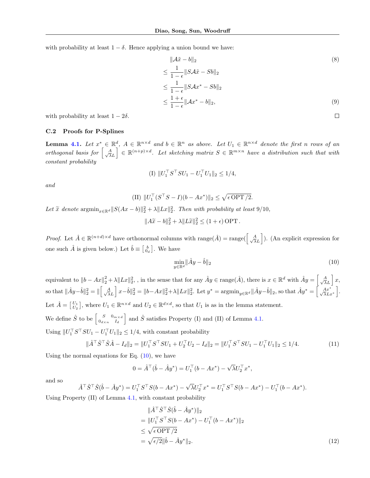with probability at least  $1 - \delta$ . Hence applying a union bound we have:

$$
\|\mathcal{A}\tilde{x} - b\|_2
$$
\n
$$
\leq \frac{1}{1 - \epsilon} \|S\mathcal{A}\tilde{x} - Sb\|_2
$$
\n
$$
\leq \frac{1}{1 - \epsilon} \|S\mathcal{A}x^* - Sb\|_2
$$
\n
$$
\leq \frac{1 + \epsilon}{1 - \epsilon} \|\mathcal{A}x^* - b\|_2,
$$
\n(9)

with probability at least  $1 - 2\delta$ .

### C.2 Proofs for P-Splines

**Lemma [4.1.](#page-0-9)** Let  $x^* \in \mathbb{R}^d$ ,  $A \in \mathbb{R}^{n \times d}$  and  $b \in \mathbb{R}^n$  as above. Let  $U_1 \in \mathbb{R}^{n \times d}$  denote the first *n* rows of an *orthogonal basis for*  $\left[\begin{array}{c} A \\ A \end{array}\right]$  $\lambda L$  $\left[ \in \mathbb{R}^{(n+p)\times d} \right]$ . Let sketching matrix  $S \in \mathbb{R}^{m\times n}$  have a distribution such that with *constant probability*

(I) 
$$
||U_1^\top S^\top SU_1 - U_1^\top U_1||_2 \le 1/4
$$
,

*and*

(II) 
$$
||U_1^{\top} (S^{\top} S - I)(b - Ax^*)||_2 \le \sqrt{\epsilon \text{OPT}/2}.
$$

Let  $\widetilde{x}$  denote  $\operatorname{argmin}_{x \in \mathbb{R}^d} ||S(Ax - b)||_2^2 + \lambda ||Lx||_2^2$ . Then with probability at least 9/10*,* 

$$
||A\widetilde{x} - b||_2^2 + \lambda ||L\widetilde{x}||_2^2 \le (1 + \epsilon) \text{ OPT}.
$$

*Proof.* Let  $\hat{A} \in \mathbb{R}^{(n+d)\times d}$  have orthonormal columns with range $(\hat{A}) = \text{range}(\begin{bmatrix} A \\ \sqrt{\lambda} \end{bmatrix})$  $\lambda L$ i ). (An explicit expression for one such  $\hat{A}$  is given below.) Let  $\hat{b} \equiv \begin{bmatrix} b \\ 0_d \end{bmatrix}$ . We have

<span id="page-4-1"></span><span id="page-4-0"></span>
$$
\min_{y \in \mathbb{R}^d} \|\hat{A}y - \hat{b}\|_2 \tag{10}
$$

equivalent to  $||b - Ax||_2^2 + \lambda ||Lx||_2^2$ , , in the sense that for any  $\hat{A}y \in \text{range}(\hat{A})$ , there is  $x \in \mathbb{R}^d$  with  $\hat{A}y = \begin{bmatrix} A \\ \sqrt{\lambda} \end{bmatrix}$  $\lambda L$  $\big]$  *x*, so that  $\|\hat{A}y-\hat{b}\|_2^2 = \|\begin{bmatrix} A \\ \sqrt{\lambda} \end{bmatrix}$  $\lambda L$  $\int x - \hat{b} \|^2_2 = \|b - Ax\|^2_2 + \lambda \|Lx\|^2_2$ . Let  $y^* = \operatorname{argmin}_{y \in \mathbb{R}^d} \|\hat{A}y - \hat{b}\|_2$ , so that  $\hat{A}y^* = \int_{-\sqrt{\lambda}Lx^*}^{\sqrt{\lambda}Lx^*}$ . Let  $\hat{A} = \begin{bmatrix} U_1 \\ U_2 \end{bmatrix}$ , where  $U_1 \in \mathbb{R}^{n \times d}$  and  $U_2 \in \mathbb{R}^{d \times d}$ , so that  $U_1$  is as in the lemma statement. We define  $\hat{S}$  to be  $\begin{bmatrix} S & 0_{m \times d} \\ 0_{d \times n} & I_d \end{bmatrix}$ and  $\hat{S}$  satisfies Property (I) and (II) of Lemma [4.1.](#page-0-9) Using  $||U_1^{\dagger} S^\dagger SU_1 - U_1^{\dagger} U_1||_2 \leq 1/4$ , with constant probability

$$
\|\hat{A}^{\top}\hat{S}^{\top}\hat{S}\hat{A} - I_d\|_2 = \|U_1^{\top}S^{\top}SU_1 + U_2^{\top}U_2 - I_d\|_2 = \|U_1^{\top}S^{\top}SU_1 - U_1^{\top}U_1\|_2 \le 1/4. \tag{11}
$$

Using the normal equations for Eq.  $(10)$ , we have

$$
0 = \hat{A}^{\top}(\hat{b} - \hat{A}y^*) = U_1^{\top}(b - Ax^*) - \sqrt{\lambda}U_2^{\top}x^*,
$$

and so

$$
\hat{A}^{\top} \hat{S}^{\top} \hat{S} (\hat{b} - \hat{A} y^*) = U_1^{\top} S^{\top} S (b - Ax^*) - \sqrt{\lambda} U_2^{\top} x^* = U_1^{\top} S^{\top} S (b - Ax^*) - U_1^{\top} (b - Ax^*).
$$

Using Property (II) of Lemma [4.1,](#page-0-9) with constant probability

<span id="page-4-2"></span>
$$
\|\hat{A}^{\top}\hat{S}^{\top}\hat{S}(\hat{b} - \hat{A}y^*)\|_2 \n= \|U_1^{\top}S^{\top}S(b - Ax^*) - U_1^{\top}(b - Ax^*)\|_2 \n\le \sqrt{\epsilon \text{OPT}/2} \n= \sqrt{\epsilon/2} \|\hat{b} - \hat{A}y^*\|_2.
$$
\n(12)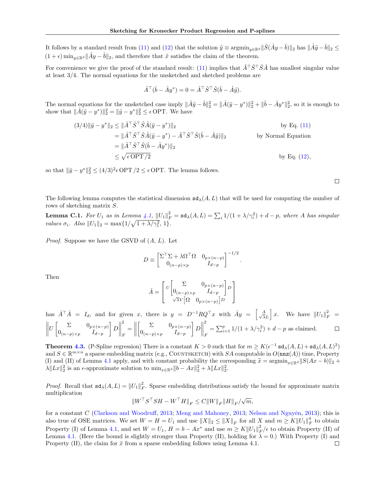It follows by a standard result from [\(11\)](#page-4-1) and [\(12\)](#page-4-2) that the solution  $\tilde{y} \equiv \operatorname{argmin}_{y \in \mathbb{R}^d} ||\hat{S}(\hat{A}y - \hat{b})||_2$  has  $||\hat{A}\tilde{y} - \hat{b}||_2 \le$  $(1 + \epsilon)$  min<sub>*u* $\epsilon \mathbb{R}^d$ </sub>  $\|\hat{A}y - \hat{b}\|_2$ , and therefore that  $\tilde{x}$  satisfies the claim of the theorem.

For convenience we give the proof of the standard result: [\(11\)](#page-4-1) implies that  $\hat{A}^T\hat{S}^T\hat{S}\hat{A}$  has smallest singular value at least 3*/*4. The normal equations for the unsketched and sketched problems are

$$
\hat{A}^{\top}(\hat{b} - \hat{A}y^*) = 0 = \hat{A}^{\top}\hat{S}^{\top}\hat{S}(\hat{b} - \hat{A}\tilde{y}).
$$

The normal equations for the unsketched case imply  $\|\hat{A}\tilde{y} - \hat{b}\|_2^2 = \|\hat{A}(\tilde{y} - y^*)\|_2^2 + \|\hat{b} - \hat{A}y^*\|_2^2$ , so it is enough to show that  $\|\hat{A}(\tilde{y} - y^*)\|_2^2 = \|\tilde{y} - y^*\|_2^2 \le \epsilon$  OPT. We have

$$
(3/4)\|\tilde{y} - y^*\|_2 \le \|\hat{A}^\top \hat{S}^\top \hat{S} \hat{A} (\tilde{y} - y^*)\|_2
$$
by Eq. (11)  
\n
$$
= \|\hat{A}^\top \hat{S}^\top \hat{S} \hat{A} (\tilde{y} - y^*) - \hat{A}^\top \hat{S}^\top \hat{S} (\hat{b} - \hat{A} \tilde{y})\|_2
$$
by Normal Equation  
\n
$$
= \|\hat{A}^\top \hat{S}^\top \hat{S} (\hat{b} - \hat{A} y^*)\|_2
$$
  
\n
$$
\le \sqrt{\epsilon \text{OPT}/2}
$$
by Eq. (12),

so that  $\|\tilde{y} - y^*\|_2^2 \le (4/3)^2 \epsilon$  OPT  $/2 \le \epsilon$  OPT. The lemma follows.

The following lemma computes the statistical dimension  $sd_{\lambda}(A, L)$  that will be used for computing the number of rows of sketching matrix *S*.

**Lemma C.1.** For  $U_1$  as in Lemma [4.1,](#page-0-9)  $||U_1||_F^2 = \text{sd}_{\lambda}(A, L) = \sum_i 1/(1 + \lambda/\gamma_i^2) + d - p$ , where *A* has singular *values*  $\sigma_i$ *. Also*  $||U_1||_2 = \max\{1/\sqrt{1 + \lambda/\gamma_1^2}, 1\}$ *.* 

*Proof.* Suppose we have the GSVD of (*A, L*). Let

$$
D \equiv \begin{bmatrix} \Sigma^{\top} \Sigma + \lambda \Omega^{\top} \Omega & 0_{p \times (n-p)} \\ 0_{(n-p) \times p} & I_{d-p} \end{bmatrix}^{-1/2}.
$$

Then

$$
\hat{A} = \begin{bmatrix} U \begin{bmatrix} \Sigma & 0_{p \times (n-p)} \\ 0_{(n-p) \times p} & I_{d-p} \end{bmatrix} D \\ \sqrt{\lambda} V \begin{bmatrix} \Omega & 0_{p \times (n-p)} \end{bmatrix} D \end{bmatrix}
$$

has  $\hat{A}^{\top}\hat{A} = I_d$ , and for given *x*, there is  $y = D^{-1}RQ^{\top}x$  with  $\hat{A}y = \begin{bmatrix} A & A \\ A & B \end{bmatrix}$  $\int x$ . We have  $||U_1||_F^2 =$  $\lambda L$   $U\begin{bmatrix} \Sigma & 0_{p\times (n-p)} \ 0 & I \end{bmatrix}$ T 2  $\int$   $\Sigma$   $0_{p\times(n-p)}$ T 2  $=\sum_{i=1}^{p} 1/(1 + \lambda/\gamma_i^2) + d - p$  as claimed.  $\Box$ *D* = *D*  $0_{(n-p)\times p}$  *I*<sub>d-p</sub>  $0_{(n-p)\times p}$  *I*<sub>*d*-*p*</sub> *F F*

**Theorem [4.3.](#page-0-10)** (P-Spline regression) There is a constant  $K > 0$  such that for  $m \geq K(\epsilon^{-1} \text{sd}_{\lambda}(A, L) + \text{sd}_{\lambda}(A, L)^2)$ and  $S \in \mathbb{R}^{m \times n}$  a sparse embedding matrix (e.g., COUNTSKETCH) with *SA* computable in  $O(\mathtt{nnz}(A))$  time, Property (I) and (II) of Lemma [4.1](#page-0-9) apply, and with constant probability the corresponding  $\tilde{x} = \operatorname{argmin}_{x \in \mathbb{R}^d} ||S(Ax - b)||_2 +$  $\lambda \|Lx\|_2^2$  is an  $\epsilon$ -approximate solution to  $\min_{x \in \mathbb{R}^d} \|b - Ax\|_2^2 + \lambda \|Lx\|_2^2$ .

*Proof.* Recall that  $sd_{\lambda}(A, L) = ||U_1||_F^2$ . Sparse embedding distributions satisfy the bound for approximate matrix multiplication

 $\|W^{\top}S^{\top}SH - W^{\top}H\|_F \leq C \|W\|_F \|H\|_F / \sqrt{m},$ 

for a constant *C* [\(Clarkson and Woodru](#page-0-11)ff, [2013;](#page-0-12) [Meng and Mahoney,](#page-0-12) 2013; Nelson and Nguyên, [2013\)](#page-0-13); this is also true of OSE matrices. We set  $W = H = U_1$  and use  $||X||_2 \le ||X||_F$  for all  $X$  and  $m \ge K||U_1||_F^4$  to obtain Property (I) of Lemma [4.1,](#page-0-9) and set  $W = U_1$ ,  $H = b - Ax^*$  and use  $m \geq K ||U_1||_F^2 / \epsilon$  to obtain Property (II) of Lemma [4.1.](#page-0-9) (Here the bound is slightly stronger than Property (II), holding for  $\lambda = 0$ .) With Property (I) and Property (II), the claim for  $\tilde{x}$  from a sparse embedding follows using Lemma 4.1.  $\Box$ 

 $\Box$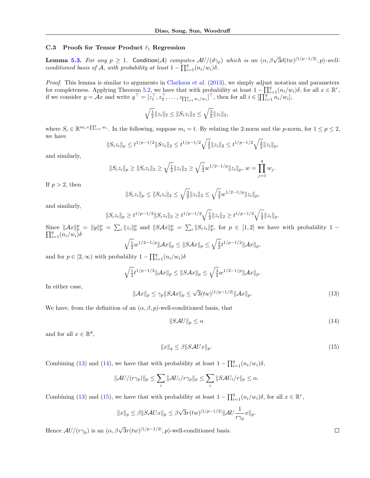#### C.3 Proofs for Tensor Product  $\ell_1$  Regression

**Lemma [5.3.](#page-0-14)** For any  $p \ge 1$ . Condition(A) computes  $AU/(d_{\gamma_p})$  which is an  $(\alpha, \beta\sqrt{3}d(tw)^{1/p-1/2}, p)$ -well*conditioned basis of*  $\mathcal{A}$ *, with probability at least*  $1 - \prod_{i=1}^{q} (n_i/w_i)\delta$ .

*Proof.* This lemma is similar to arguments in [Clarkson et al.](#page-0-15) [\(2013\)](#page-0-15), we simply adjust notation and parameters for completeness. Applying Theorem [5.2,](#page-0-16) we have that with probability at least  $1 - \prod_{i=1}^{q} (n_i/w_i)\delta$ , for all  $x \in \mathbb{R}^r$ , if we consider  $y = Ax$  and write  $y^{\top} = [z_1^{\top}, z_2^{\top}, \dots, z_{\prod_{i=1}^q n_i/w_i}]^{\top}$ , then for all  $i \in [\prod_{i=1}^q n_i/w_i]$ ,

$$
\sqrt{\frac{1}{2}}||z_i||_2 \leq ||S_i z_i||_2 \leq \sqrt{\frac{3}{2}}||z_i||_2,
$$

where  $S_i \in \mathbb{R}^{m_i \times \prod_{i=1}^q w_i}$ . In the following, suppose  $m_i = t$ . By relating the 2-norm and the *p*-norm, for  $1 \leq p \leq 2$ , we have

$$
||S_i z_i||_p \leq t^{1/p-1/2} ||Sz_i||_2 \leq t^{1/p-1/2} \sqrt{\frac{3}{2}} ||z_i||_2 \leq t^{1/p-1/2} \sqrt{\frac{3}{2}} ||z_i||_p,
$$

and similarly,

$$
||S_i z_i||_p \ge ||S_i z_i||_2 \ge \sqrt{\frac{1}{2}} ||z_i||_2 \ge \sqrt{\frac{1}{2}} w^{1/2 - 1/p} ||z_i||_p, w = \prod_{j=1}^q w_j.
$$

If  $p > 2$ , then

$$
||S_i z_i||_p \le ||S_i z_i||_2 \le \sqrt{\frac{3}{2}} ||z_i||_2 \le \sqrt{\frac{3}{2}} w^{1/2 - 1/p} ||z_i||_p,
$$

and similarly,

$$
||S_i z_i||_p \ge t^{1/p-1/2} ||S_i z_i||_2 \ge t^{1/p-1/2} \sqrt{\frac{1}{2}} ||z_i||_2 \ge t^{1/p-1/2} \sqrt{\frac{1}{2}} ||z_i||_p.
$$

Since  $||Ax||_p^p = ||y||_p^p = \sum_i ||z_i||_p^p$  and  $||SAx||_p^p = \sum_i ||S_i z_i||_p^p$ , for  $p \in [1,2]$  we have with probability  $1 - \prod_{i=1}^q (n_i/w_i)\delta$ 

$$
\sqrt{\frac{1}{2}}w^{1/2-1/p}\|\mathcal{A}x\|_{p} \leq \|S\mathcal{A}x\|_{p} \leq \sqrt{\frac{3}{2}}t^{1/p-1/2}\|\mathcal{A}x\|_{p},
$$

and for  $p \in [2, \infty)$  with probability  $1 - \prod_{i=1}^{q} (n_i/w_i) \delta$ 

$$
\sqrt{\frac{1}{2}}t^{1/p-1/2}\|\mathcal{A}x\|_{p} \leq \|S\mathcal{A}x\|_{p} \leq \sqrt{\frac{3}{2}}w^{1/2-1/p}\|\mathcal{A}x\|_{p}.
$$

<span id="page-6-0"></span>In either case,

$$
\|\mathcal{A}x\|_{p} \le \gamma_{p} \|S\mathcal{A}x\|_{p} \le \sqrt{3}(tw)^{|1/p - 1/2|} \|\mathcal{A}x\|_{p}.
$$
\n(13)

We have, from the definition of an  $(\alpha, \beta, p)$ -well-conditioned basis, that

<span id="page-6-1"></span>
$$
||SAU||_p \le \alpha \tag{14}
$$

and for all  $x \in \mathbb{R}^d$ ,

<span id="page-6-2"></span>
$$
||x||_q \le \beta ||S\mathcal{A}Ux||_p. \tag{15}
$$

Combining [\(13\)](#page-6-0) and [\(14\)](#page-6-1), we have that with probability at least  $1 - \prod_{i=1}^{q} (n_i/w_i)\delta$ ,

$$
||\mathcal{A}U/(r\gamma_p)||_p \leq \sum_i ||\mathcal{A}U_i/r\gamma_p||_p \leq \sum_i ||S\mathcal{A}U_i/r||_p \leq \alpha.
$$

Combining [\(13\)](#page-6-0) and [\(15\)](#page-6-2), we have that with probability at least  $1 - \prod_{i=1}^{q} (n_i/w_i)\delta$ , for all  $x \in \mathbb{R}^r$ ,

$$
||x||_q \le \beta ||SAVx||_p \le \beta \sqrt{3} r(tw)^{|1/p-1/2|} ||AU \frac{1}{r\gamma_p} x||_p.
$$

Hence  $AU/(r\gamma_p)$  is an  $(\alpha, \beta\sqrt{3}r(tw)^{1/p-1/2}$ , *p*)-well-conditioned basis.

 $\Box$